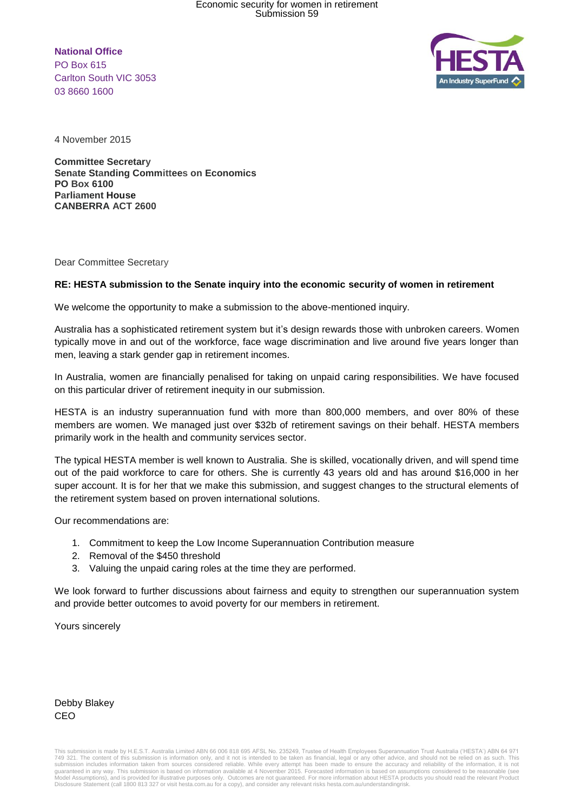**National Office** PO Box 615 Carlton South VIC 3053 03 8660 1600



4 November 2015

**Committee Secretary Senate Standing Committees on Economics PO Box 6100 Parliament House CANBERRA ACT 2600** 

Dear Committee Secretary

#### **RE: HESTA submission to the Senate inquiry into the economic security of women in retirement**

We welcome the opportunity to make a submission to the above-mentioned inquiry.

Australia has a sophisticated retirement system but it's design rewards those with unbroken careers. Women typically move in and out of the workforce, face wage discrimination and live around five years longer than men, leaving a stark gender gap in retirement incomes.

In Australia, women are financially penalised for taking on unpaid caring responsibilities. We have focused on this particular driver of retirement inequity in our submission.

HESTA is an industry superannuation fund with more than 800,000 members, and over 80% of these members are women. We managed just over \$32b of retirement savings on their behalf. HESTA members primarily work in the health and community services sector.

The typical HESTA member is well known to Australia. She is skilled, vocationally driven, and will spend time out of the paid workforce to care for others. She is currently 43 years old and has around \$16,000 in her super account. It is for her that we make this submission, and suggest changes to the structural elements of the retirement system based on proven international solutions.

Our recommendations are:

- 1. Commitment to keep the Low Income Superannuation Contribution measure
- 2. Removal of the \$450 threshold
- 3. Valuing the unpaid caring roles at the time they are performed.

We look forward to further discussions about fairness and equity to strengthen our superannuation system and provide better outcomes to avoid poverty for our members in retirement.

Yours sincerely

Debby Blakey CEO

This submission is made by H.E.S.T. Australia Limited ABN 66 006 818 695 AFSL No. 235249, Trustee of Health Employees Superannuation Trust Australia ('HESTA') ABN 64 971 749 321. The content of this submission is information only, and it not is intended to be taken as financial, legal or any other advice, and should not be relied on as such. This<br>submission includes information taken from guaranteed in any way. This submission is based on information available at 4 November 2015. Forecasted information is based on assumptions considered to be reasonable (see Model Assumptions), and is provided for illustrative purposes only. Outcomes are not guaranteed. For more information about HESTA products you should read the relevant Product<br>Disclosure Statement (call 1800 813 327 or vis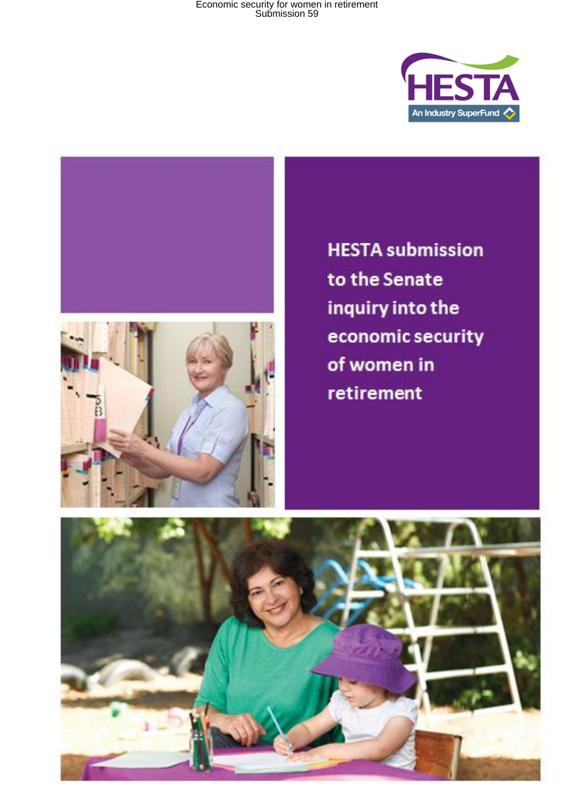



**HESTA submission** to the Senate inquiry into the economic security of women in retirement

![](_page_1_Picture_4.jpeg)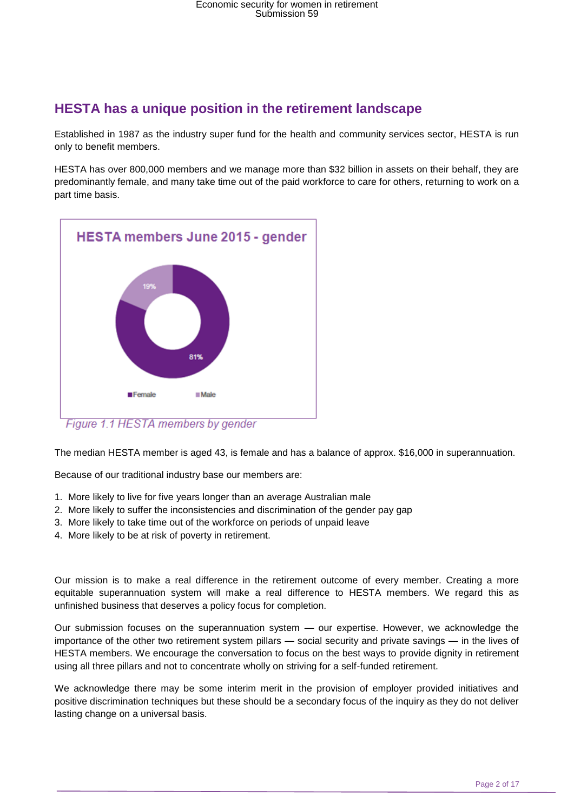## **HESTA has a unique position in the retirement landscape**

Established in 1987 as the industry super fund for the health and community services sector, HESTA is run only to benefit members.

HESTA has over 800,000 members and we manage more than \$32 billion in assets on their behalf, they are predominantly female, and many take time out of the paid workforce to care for others, returning to work on a part time basis.

![](_page_2_Figure_4.jpeg)

The median HESTA member is aged 43, is female and has a balance of approx. \$16,000 in superannuation.

Because of our traditional industry base our members are:

- 1. More likely to live for five years longer than an average Australian male
- 2. More likely to suffer the inconsistencies and discrimination of the gender pay gap
- 3. More likely to take time out of the workforce on periods of unpaid leave
- 4. More likely to be at risk of poverty in retirement.

Our mission is to make a real difference in the retirement outcome of every member. Creating a more equitable superannuation system will make a real difference to HESTA members. We regard this as unfinished business that deserves a policy focus for completion.

Our submission focuses on the superannuation system — our expertise. However, we acknowledge the importance of the other two retirement system pillars — social security and private savings — in the lives of HESTA members. We encourage the conversation to focus on the best ways to provide dignity in retirement using all three pillars and not to concentrate wholly on striving for a self-funded retirement.

We acknowledge there may be some interim merit in the provision of employer provided initiatives and positive discrimination techniques but these should be a secondary focus of the inquiry as they do not deliver lasting change on a universal basis.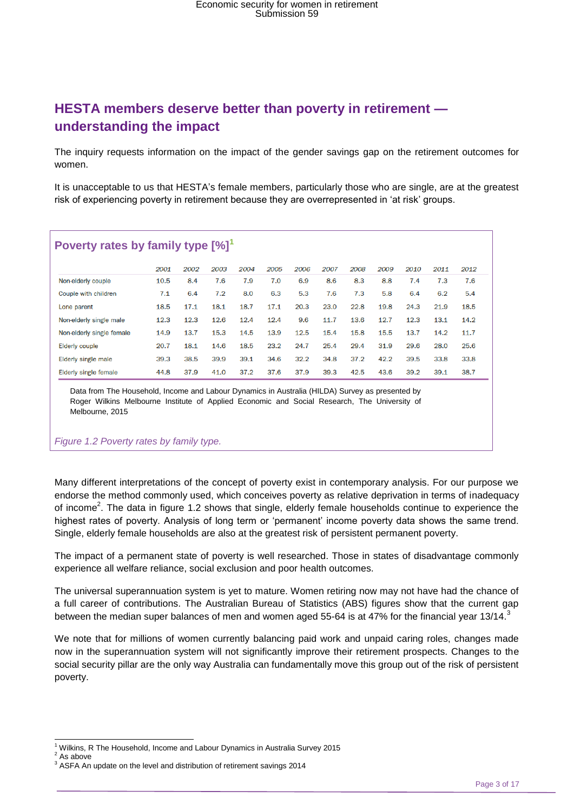## **HESTA members deserve better than poverty in retirement understanding the impact**

The inquiry requests information on the impact of the gender savings gap on the retirement outcomes for women.

It is unacceptable to us that HESTA's female members, particularly those who are single, are at the greatest risk of experiencing poverty in retirement because they are overrepresented in 'at risk' groups.

| Poverty rates by family type [%] |      |      |      |      |      |      |      |      |      |      |      |      |
|----------------------------------|------|------|------|------|------|------|------|------|------|------|------|------|
|                                  | 2001 | 2002 | 2003 | 2004 | 2005 | 2006 | 2007 | 2008 | 2009 | 2010 | 2011 | 2012 |
| Non-elderly couple               | 10.5 | 8.4  | 7.6  | 7.9  | 7.0  | 6.9  | 8.6  | 8.3  | 8.8  | 7.4  | 7.3  | 7.6  |
| Couple with children             | 7.1  | 6.4  | 7.2  | 8.0  | 6.3  | 5.3  | 7.6  | 7.3  | 5.8  | 6.4  | 6.2  | 5.4  |
| Lone parent                      | 18.5 | 17.1 | 18.1 | 18.7 | 17.1 | 20.3 | 23.0 | 22.8 | 19.8 | 24.3 | 21.9 | 18.5 |
| Non-elderly single male          | 12.3 | 12.3 | 12.6 | 12.4 | 12.4 | 9.6  | 11.7 | 13.6 | 12.7 | 12.3 | 13.1 | 14.2 |
| Non-elderly single female        | 14.9 | 13.7 | 15.3 | 14.5 | 13.9 | 12.5 | 15.4 | 15.8 | 15.5 | 13.7 | 14.2 | 11.7 |
| <b>Elderly couple</b>            | 20.7 | 18.1 | 14.6 | 18.5 | 23.2 | 24.7 | 25.4 | 29.4 | 31.9 | 29.6 | 28.0 | 25.6 |
| Elderly single male              | 39.3 | 38.5 | 39.9 | 39.1 | 34.6 | 32.2 | 34.8 | 37.2 | 42.2 | 39.5 | 33.8 | 33.8 |
| Elderly single female            | 44.8 | 37.9 | 41.0 | 37.2 | 37.6 | 37.9 | 39.3 | 42.5 | 43.6 | 39.2 | 39.1 | 38.7 |

Data from The Household, Income and Labour Dynamics in Australia (HILDA) Survey as presented by Roger Wilkins Melbourne Institute of Applied Economic and Social Research, The University of Melbourne, 2015

#### *Figure 1.2 Poverty rates by family type.*

Many different interpretations of the concept of poverty exist in contemporary analysis. For our purpose we endorse the method commonly used, which conceives poverty as relative deprivation in terms of inadequacy of income<sup>2</sup>. The data in figure 1.2 shows that single, elderly female households continue to experience the highest rates of poverty. Analysis of long term or 'permanent' income poverty data shows the same trend. Single, elderly female households are also at the greatest risk of persistent permanent poverty.

The impact of a permanent state of poverty is well researched. Those in states of disadvantage commonly experience all welfare reliance, social exclusion and poor health outcomes.

The universal superannuation system is yet to mature. Women retiring now may not have had the chance of a full career of contributions. The Australian Bureau of Statistics (ABS) figures show that the current gap between the median super balances of men and women aged 55-64 is at 47% for the financial year 13/14. $3$ 

We note that for millions of women currently balancing paid work and unpaid caring roles, changes made now in the superannuation system will not significantly improve their retirement prospects. Changes to the social security pillar are the only way Australia can fundamentally move this group out of the risk of persistent poverty.

<sup>-</sup> $1$  Wilkins, R The Household, Income and Labour Dynamics in Australia Survey 2015

As above

<sup>&</sup>lt;sup>3</sup> ASFA An update on the level and distribution of retirement savings 2014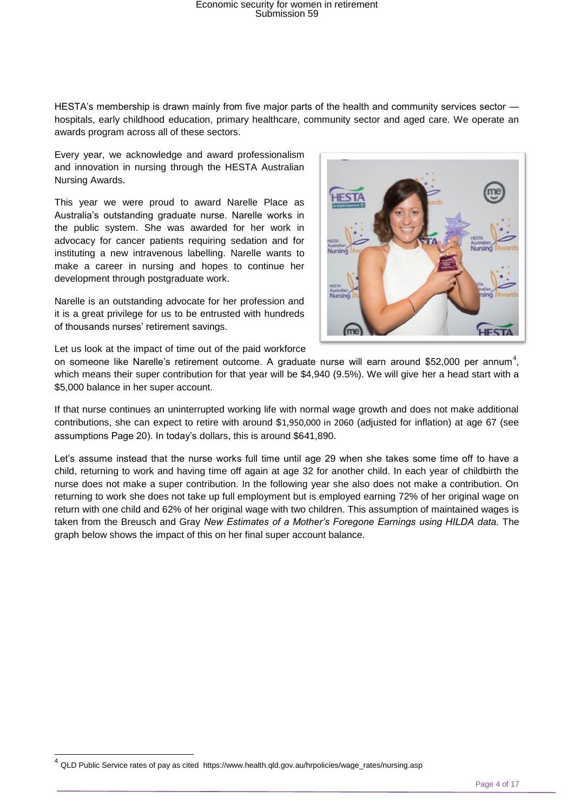HESTA's membership is drawn mainly from five major parts of the health and community services sector hospitals, early childhood education, primary healthcare, community sector and aged care. We operate an awards program across all of these sectors.

Every year, we acknowledge and award professionalism and innovation in nursing through the HESTA Australian Nursing Awards.

This year we were proud to award Narelle Place as Australia's outstanding graduate nurse. Narelle works in the public system. She was awarded for her work in advocacy for cancer patients requiring sedation and for instituting a new intravenous labelling. Narelle wants to make a career in nursing and hopes to continue her development through postgraduate work.

Narelle is an outstanding advocate for her profession and it is a great privilege for us to be entrusted with hundreds of thousands nurses' retirement savings.

![](_page_4_Picture_5.jpeg)

Let us look at the impact of time out of the paid workforce

on someone like Narelle's retirement outcome. A graduate nurse will earn around \$52,000 per annum<sup>4</sup>, which means their super contribution for that year will be \$4,940 (9.5%). We will give her a head start with a \$5,000 balance in her super account.

If that nurse continues an uninterrupted working life with normal wage growth and does not make additional contributions, she can expect to retire with around \$1,950,000 in 2060 (adjusted for inflation) at age 67 (see assumptions Page 20). In today's dollars, this is around \$641,890.

Let's assume instead that the nurse works full time until age 29 when she takes some time off to have a child, returning to work and having time off again at age 32 for another child. In each year of childbirth the nurse does not make a super contribution. In the following year she also does not make a contribution. On returning to work she does not take up full employment but is employed earning 72% of her original wage on return with one child and 62% of her original wage with two children. This assumption of maintained wages is taken from the Breusch and Gray *New Estimates of a Mother's Foregone Earnings using HILDA data.* The graph below shows the impact of this on her final super account balance.

 4 QLD Public Service rates of pay as cited https://www.health.qld.gov.au/hrpolicies/wage\_rates/nursing.asp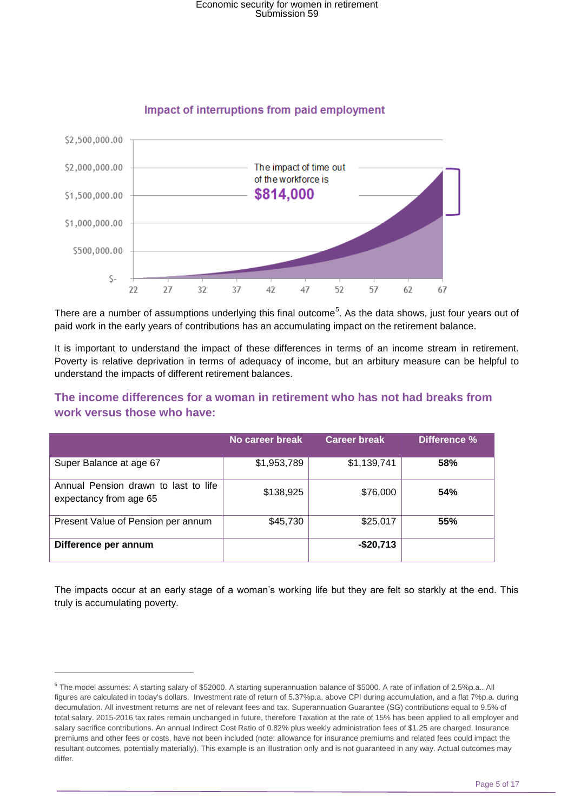### Impact of interruptions from paid employment

![](_page_5_Figure_2.jpeg)

There are a number of assumptions underlying this final outcome<sup>5</sup>. As the data shows, just four years out of paid work in the early years of contributions has an accumulating impact on the retirement balance.

It is important to understand the impact of these differences in terms of an income stream in retirement. Poverty is relative deprivation in terms of adequacy of income, but an arbitury measure can be helpful to understand the impacts of different retirement balances.

### **The income differences for a woman in retirement who has not had breaks from work versus those who have:**

|                                                                | No career break | <b>Career break</b> | Difference % |
|----------------------------------------------------------------|-----------------|---------------------|--------------|
| Super Balance at age 67                                        | \$1,953,789     | \$1,139,741         | 58%          |
| Annual Pension drawn to last to life<br>expectancy from age 65 | \$138,925       | \$76,000            | 54%          |
| Present Value of Pension per annum                             | \$45,730        | \$25,017            | 55%          |
| Difference per annum                                           |                 | $-$20,713$          |              |

The impacts occur at an early stage of a woman's working life but they are felt so starkly at the end. This truly is accumulating poverty.

-

<sup>5</sup> The model assumes: A starting salary of \$52000. A starting superannuation balance of \$5000. A rate of inflation of 2.5%p.a.. All figures are calculated in today's dollars. Investment rate of return of 5.37%p.a. above CPI during accumulation, and a flat 7%p.a. during decumulation. All investment returns are net of relevant fees and tax. Superannuation Guarantee (SG) contributions equal to 9.5% of total salary. 2015-2016 tax rates remain unchanged in future, therefore Taxation at the rate of 15% has been applied to all employer and salary sacrifice contributions. An annual Indirect Cost Ratio of 0.82% plus weekly administration fees of \$1.25 are charged. Insurance premiums and other fees or costs, have not been included (note: allowance for insurance premiums and related fees could impact the resultant outcomes, potentially materially). This example is an illustration only and is not guaranteed in any way. Actual outcomes may differ.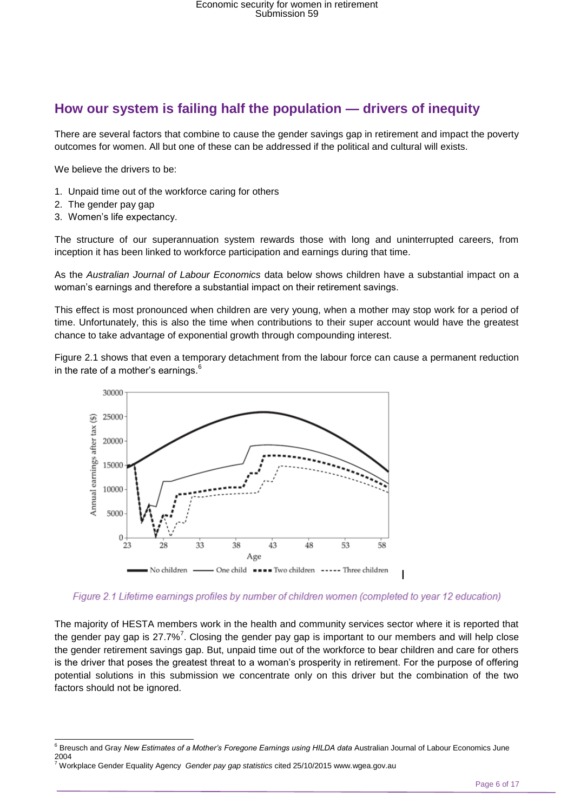### **How our system is failing half the population — drivers of inequity**

There are several factors that combine to cause the gender savings gap in retirement and impact the poverty outcomes for women. All but one of these can be addressed if the political and cultural will exists.

We believe the drivers to be:

- 1. Unpaid time out of the workforce caring for others
- 2. The gender pay gap
- 3. Women's life expectancy.

The structure of our superannuation system rewards those with long and uninterrupted careers, from inception it has been linked to workforce participation and earnings during that time.

As the *Australian Journal of Labour Economics* data below shows children have a substantial impact on a woman's earnings and therefore a substantial impact on their retirement savings.

This effect is most pronounced when children are very young, when a mother may stop work for a period of time. Unfortunately, this is also the time when contributions to their super account would have the greatest chance to take advantage of exponential growth through compounding interest.

Figure 2.1 shows that even a temporary detachment from the labour force can cause a permanent reduction in the rate of a mother's earnings. $6$ 

![](_page_6_Figure_11.jpeg)

Figure 2.1 Lifetime earnings profiles by number of children women (completed to year 12 education)

The majority of HESTA members work in the health and community services sector where it is reported that the gender pay gap is 27.7%<sup>7</sup>. Closing the gender pay gap is important to our members and will help close the gender retirement savings gap. But, unpaid time out of the workforce to bear children and care for others is the driver that poses the greatest threat to a woman's prosperity in retirement. For the purpose of offering potential solutions in this submission we concentrate only on this driver but the combination of the two factors should not be ignored.

<sup>-</sup><sup>6</sup> Breusch and Gray *New Estimates of a Mother's Foregone Earnings using HILDA data* Australian Journal of Labour Economics June 2004

<sup>7</sup> Workplace Gender Equality Agency *Gender pay gap statistics* cited 25/10/2015 www.wgea.gov.au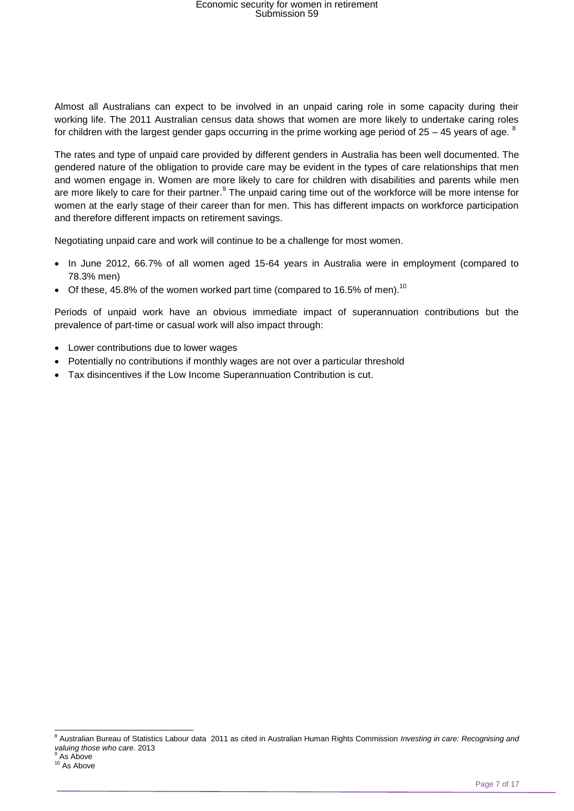Almost all Australians can expect to be involved in an unpaid caring role in some capacity during their working life. The 2011 Australian census data shows that women are more likely to undertake caring roles for children with the largest gender gaps occurring in the prime working age period of  $25 - 45$  years of age.  $8$ 

The rates and type of unpaid care provided by different genders in Australia has been well documented. The gendered nature of the obligation to provide care may be evident in the types of care relationships that men and women engage in. Women are more likely to care for children with disabilities and parents while men are more likely to care for their partner.<sup>9</sup> The unpaid caring time out of the workforce will be more intense for women at the early stage of their career than for men. This has different impacts on workforce participation and therefore different impacts on retirement savings.

Negotiating unpaid care and work will continue to be a challenge for most women.

- In June 2012, 66.7% of all women aged 15-64 years in Australia were in employment (compared to 78.3% men)
- Of these, 45.8% of the women worked part time (compared to 16.5% of men).<sup>10</sup>

Periods of unpaid work have an obvious immediate impact of superannuation contributions but the prevalence of part-time or casual work will also impact through:

- Lower contributions due to lower wages
- Potentially no contributions if monthly wages are not over a particular threshold
- Tax disincentives if the Low Income Superannuation Contribution is cut.

-

<sup>8</sup> Australian Bureau of Statistics Labour data 2011 as cited in Australian Human Rights Commission *Investing in care: Recognising and valuing those who care*. 2013

As Above

 $10$  As Above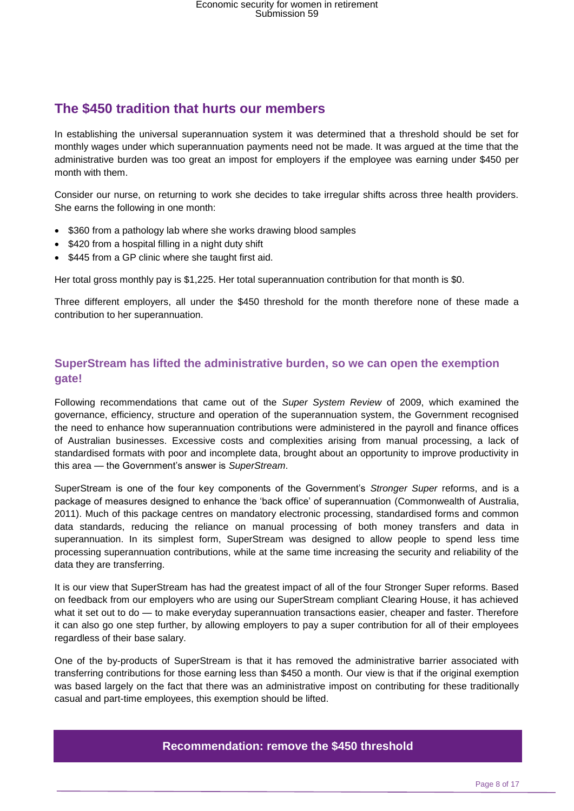## **The \$450 tradition that hurts our members**

In establishing the universal superannuation system it was determined that a threshold should be set for monthly wages under which superannuation payments need not be made. It was argued at the time that the administrative burden was too great an impost for employers if the employee was earning under \$450 per month with them.

Consider our nurse, on returning to work she decides to take irregular shifts across three health providers. She earns the following in one month:

- \$360 from a pathology lab where she works drawing blood samples
- \$420 from a hospital filling in a night duty shift
- \$445 from a GP clinic where she taught first aid.

Her total gross monthly pay is \$1,225. Her total superannuation contribution for that month is \$0.

Three different employers, all under the \$450 threshold for the month therefore none of these made a contribution to her superannuation.

### **SuperStream has lifted the administrative burden, so we can open the exemption gate!**

Following recommendations that came out of the *Super System Review* of 2009, which examined the governance, efficiency, structure and operation of the superannuation system, the Government recognised the need to enhance how superannuation contributions were administered in the payroll and finance offices of Australian businesses. Excessive costs and complexities arising from manual processing, a lack of standardised formats with poor and incomplete data, brought about an opportunity to improve productivity in this area — the Government's answer is *SuperStream*.

SuperStream is one of the four key components of the Government's *Stronger Super* reforms, and is a package of measures designed to enhance the 'back office' of superannuation (Commonwealth of Australia, 2011). Much of this package centres on mandatory electronic processing, standardised forms and common data standards, reducing the reliance on manual processing of both money transfers and data in superannuation. In its simplest form, SuperStream was designed to allow people to spend less time processing superannuation contributions, while at the same time increasing the security and reliability of the data they are transferring.

It is our view that SuperStream has had the greatest impact of all of the four Stronger Super reforms. Based on feedback from our employers who are using our SuperStream compliant Clearing House, it has achieved what it set out to do — to make everyday superannuation transactions easier, cheaper and faster. Therefore it can also go one step further, by allowing employers to pay a super contribution for all of their employees regardless of their base salary.

One of the by-products of SuperStream is that it has removed the administrative barrier associated with transferring contributions for those earning less than \$450 a month. Our view is that if the original exemption was based largely on the fact that there was an administrative impost on contributing for these traditionally casual and part-time employees, this exemption should be lifted.

#### **Recommendation: remove the \$450 threshold**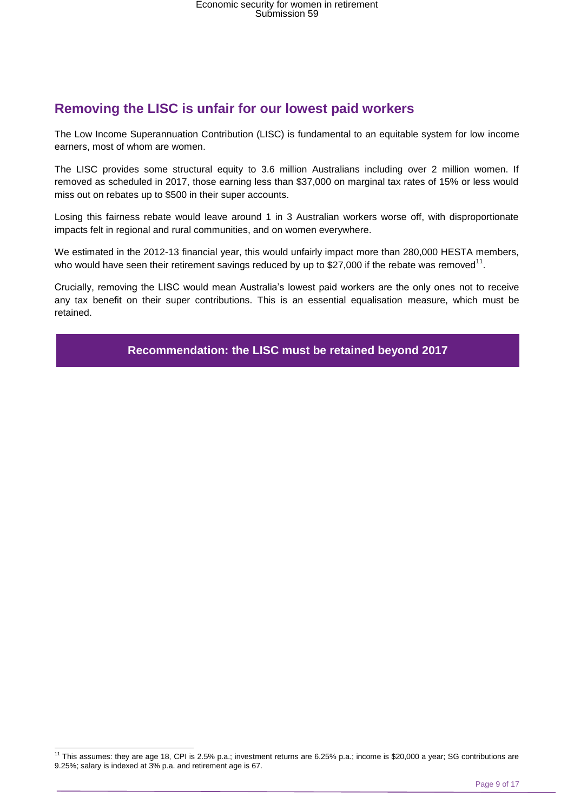## **Removing the LISC is unfair for our lowest paid workers**

The Low Income Superannuation Contribution (LISC) is fundamental to an equitable system for low income earners, most of whom are women.

The LISC provides some structural equity to 3.6 million Australians including over 2 million women. If removed as scheduled in 2017, those earning less than \$37,000 on marginal tax rates of 15% or less would miss out on rebates up to \$500 in their super accounts.

Losing this fairness rebate would leave around 1 in 3 Australian workers worse off, with disproportionate impacts felt in regional and rural communities, and on women everywhere.

We estimated in the 2012-13 financial year, this would unfairly impact more than 280,000 HESTA members, who would have seen their retirement savings reduced by up to \$27,000 if the rebate was removed<sup>11</sup>.

Crucially, removing the LISC would mean Australia's lowest paid workers are the only ones not to receive any tax benefit on their super contributions. This is an essential equalisation measure, which must be retained.

**Recommendation: the LISC must be retained beyond 2017**

-

<sup>&</sup>lt;sup>11</sup> This assumes: they are age 18, CPI is 2.5% p.a.; investment returns are 6.25% p.a.; income is \$20,000 a year; SG contributions are 9.25%; salary is indexed at 3% p.a. and retirement age is 67.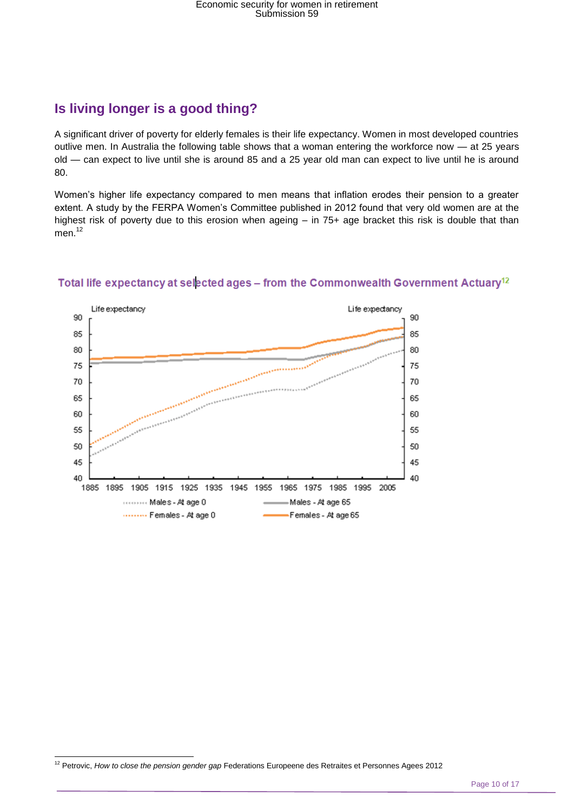## **Is living longer is a good thing?**

A significant driver of poverty for elderly females is their life expectancy. Women in most developed countries outlive men. In Australia the following table shows that a woman entering the workforce now — at 25 years old — can expect to live until she is around 85 and a 25 year old man can expect to live until he is around 80.

Women's higher life expectancy compared to men means that inflation erodes their pension to a greater extent. A study by the FERPA Women's Committee published in 2012 found that very old women are at the highest risk of poverty due to this erosion when ageing – in 75+ age bracket this risk is double that than men.<sup>12</sup>

![](_page_10_Figure_4.jpeg)

### Total life expectancy at selected ages - from the Commonwealth Government Actuary<sup>12</sup>

<sup>1</sup> <sup>12</sup> Petrovic, *How to close the pension gender gap* Federations Europeene des Retraites et Personnes Agees 2012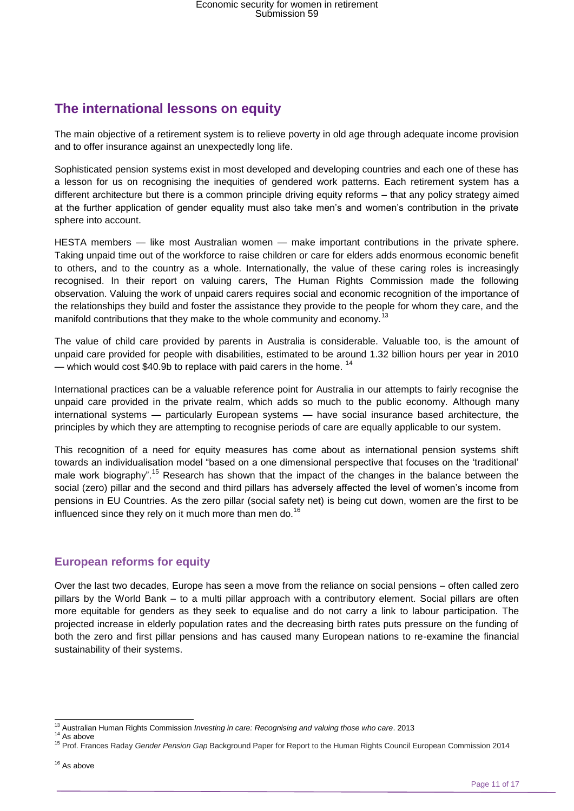## **The international lessons on equity**

The main objective of a retirement system is to relieve poverty in old age through adequate income provision and to offer insurance against an unexpectedly long life.

Sophisticated pension systems exist in most developed and developing countries and each one of these has a lesson for us on recognising the inequities of gendered work patterns. Each retirement system has a different architecture but there is a common principle driving equity reforms – that any policy strategy aimed at the further application of gender equality must also take men's and women's contribution in the private sphere into account.

HESTA members — like most Australian women — make important contributions in the private sphere. Taking unpaid time out of the workforce to raise children or care for elders adds enormous economic benefit to others, and to the country as a whole. Internationally, the value of these caring roles is increasingly recognised. In their report on valuing carers, The Human Rights Commission made the following observation. Valuing the work of unpaid carers requires social and economic recognition of the importance of the relationships they build and foster the assistance they provide to the people for whom they care, and the manifold contributions that they make to the whole community and economy.<sup>13</sup>

The value of child care provided by parents in Australia is considerable. Valuable too, is the amount of unpaid care provided for people with disabilities, estimated to be around 1.32 billion hours per year in 2010 – which would cost \$40.9b to replace with paid carers in the home.  $^{14}$ 

International practices can be a valuable reference point for Australia in our attempts to fairly recognise the unpaid care provided in the private realm, which adds so much to the public economy. Although many international systems — particularly European systems — have social insurance based architecture, the principles by which they are attempting to recognise periods of care are equally applicable to our system.

This recognition of a need for equity measures has come about as international pension systems shift towards an individualisation model "based on a one dimensional perspective that focuses on the 'traditional' male work biography".<sup>15</sup> Research has shown that the impact of the changes in the balance between the social (zero) pillar and the second and third pillars has adversely affected the level of women's income from pensions in EU Countries. As the zero pillar (social safety net) is being cut down, women are the first to be influenced since they rely on it much more than men do.<sup>16</sup>

### **European reforms for equity**

Over the last two decades, Europe has seen a move from the reliance on social pensions – often called zero pillars by the World Bank – to a multi pillar approach with a contributory element. Social pillars are often more equitable for genders as they seek to equalise and do not carry a link to labour participation. The projected increase in elderly population rates and the decreasing birth rates puts pressure on the funding of both the zero and first pillar pensions and has caused many European nations to re-examine the financial sustainability of their systems.

<sup>1</sup> <sup>13</sup> Australian Human Rights Commission *Investing in care: Recognising and valuing those who care*. 2013

<sup>&</sup>lt;sup>14</sup> As above

<sup>15</sup> Prof. Frances Raday *Gender Pension Gap* Background Paper for Report to the Human Rights Council European Commission 2014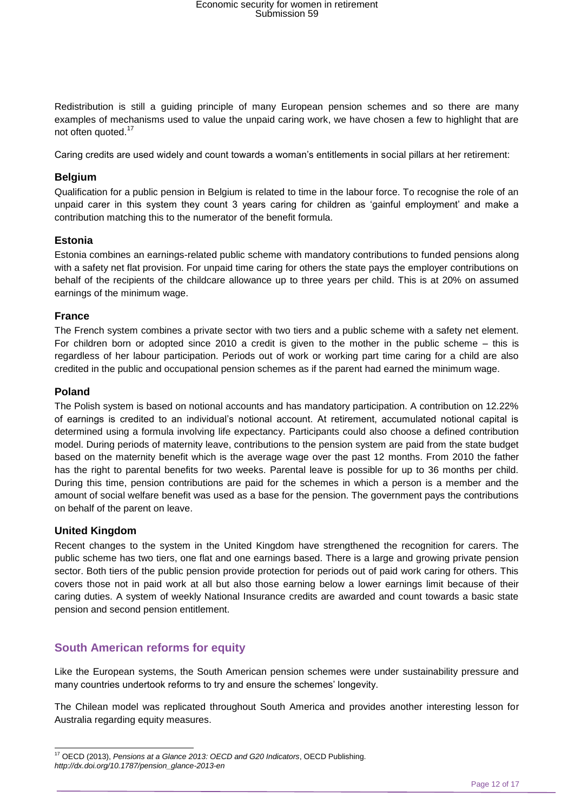Redistribution is still a guiding principle of many European pension schemes and so there are many examples of mechanisms used to value the unpaid caring work, we have chosen a few to highlight that are not often quoted.<sup>17</sup>

Caring credits are used widely and count towards a woman's entitlements in social pillars at her retirement:

#### **Belgium**

Qualification for a public pension in Belgium is related to time in the labour force. To recognise the role of an unpaid carer in this system they count 3 years caring for children as 'gainful employment' and make a contribution matching this to the numerator of the benefit formula.

#### **Estonia**

Estonia combines an earnings-related public scheme with mandatory contributions to funded pensions along with a safety net flat provision. For unpaid time caring for others the state pays the employer contributions on behalf of the recipients of the childcare allowance up to three years per child. This is at 20% on assumed earnings of the minimum wage.

#### **France**

The French system combines a private sector with two tiers and a public scheme with a safety net element. For children born or adopted since 2010 a credit is given to the mother in the public scheme – this is regardless of her labour participation. Periods out of work or working part time caring for a child are also credited in the public and occupational pension schemes as if the parent had earned the minimum wage.

#### **Poland**

The Polish system is based on notional accounts and has mandatory participation. A contribution on 12.22% of earnings is credited to an individual's notional account. At retirement, accumulated notional capital is determined using a formula involving life expectancy. Participants could also choose a defined contribution model. During periods of maternity leave, contributions to the pension system are paid from the state budget based on the maternity benefit which is the average wage over the past 12 months. From 2010 the father has the right to parental benefits for two weeks. Parental leave is possible for up to 36 months per child. During this time, pension contributions are paid for the schemes in which a person is a member and the amount of social welfare benefit was used as a base for the pension. The government pays the contributions on behalf of the parent on leave.

#### **United Kingdom**

-

Recent changes to the system in the United Kingdom have strengthened the recognition for carers. The public scheme has two tiers, one flat and one earnings based. There is a large and growing private pension sector. Both tiers of the public pension provide protection for periods out of paid work caring for others. This covers those not in paid work at all but also those earning below a lower earnings limit because of their caring duties. A system of weekly National Insurance credits are awarded and count towards a basic state pension and second pension entitlement.

### **South American reforms for equity**

Like the European systems, the South American pension schemes were under sustainability pressure and many countries undertook reforms to try and ensure the schemes' longevity.

The Chilean model was replicated throughout South America and provides another interesting lesson for Australia regarding equity measures.

<sup>17</sup> OECD (2013), *Pensions at a Glance 2013: OECD and G20 Indicators*, OECD Publishing. *http://dx.doi.org/10.1787/pension\_glance-2013-en*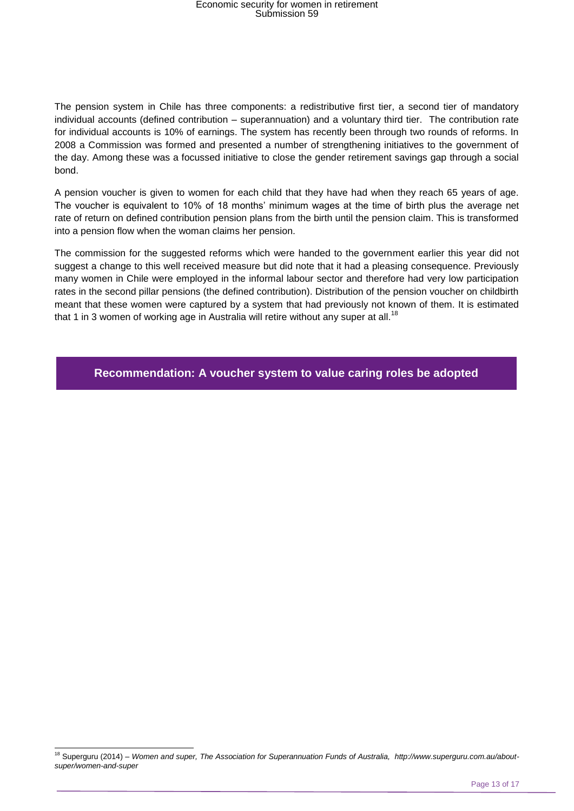The pension system in Chile has three components: a redistributive first tier, a second tier of mandatory individual accounts (defined contribution – superannuation) and a voluntary third tier. The contribution rate for individual accounts is 10% of earnings. The system has recently been through two rounds of reforms. In 2008 a Commission was formed and presented a number of strengthening initiatives to the government of the day. Among these was a focussed initiative to close the gender retirement savings gap through a social bond.

A pension voucher is given to women for each child that they have had when they reach 65 years of age. The voucher is equivalent to 10% of 18 months' minimum wages at the time of birth plus the average net rate of return on defined contribution pension plans from the birth until the pension claim. This is transformed into a pension flow when the woman claims her pension.

The commission for the suggested reforms which were handed to the government earlier this year did not suggest a change to this well received measure but did note that it had a pleasing consequence. Previously many women in Chile were employed in the informal labour sector and therefore had very low participation rates in the second pillar pensions (the defined contribution). Distribution of the pension voucher on childbirth meant that these women were captured by a system that had previously not known of them. It is estimated that 1 in 3 women of working age in Australia will retire without any super at all.<sup>18</sup>

**Recommendation: A voucher system to value caring roles be adopted**

<sup>-</sup><sup>18</sup> Superguru (2014) – *Women and super, The Association for Superannuation Funds of Australia, http://www.superguru.com.au/aboutsuper/women-and-super*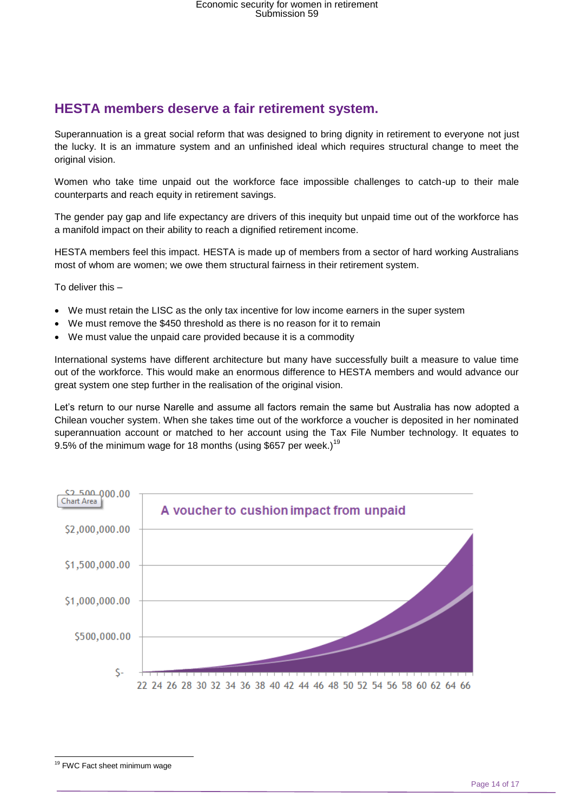### **HESTA members deserve a fair retirement system.**

Superannuation is a great social reform that was designed to bring dignity in retirement to everyone not just the lucky. It is an immature system and an unfinished ideal which requires structural change to meet the original vision.

Women who take time unpaid out the workforce face impossible challenges to catch-up to their male counterparts and reach equity in retirement savings.

The gender pay gap and life expectancy are drivers of this inequity but unpaid time out of the workforce has a manifold impact on their ability to reach a dignified retirement income.

HESTA members feel this impact. HESTA is made up of members from a sector of hard working Australians most of whom are women; we owe them structural fairness in their retirement system.

To deliver this –

- We must retain the LISC as the only tax incentive for low income earners in the super system
- We must remove the \$450 threshold as there is no reason for it to remain
- We must value the unpaid care provided because it is a commodity

International systems have different architecture but many have successfully built a measure to value time out of the workforce. This would make an enormous difference to HESTA members and would advance our great system one step further in the realisation of the original vision.

Let's return to our nurse Narelle and assume all factors remain the same but Australia has now adopted a Chilean voucher system. When she takes time out of the workforce a voucher is deposited in her nominated superannuation account or matched to her account using the Tax File Number technology. It equates to 9.5% of the minimum wage for 18 months (using \$657 per week.)<sup>19</sup>

![](_page_14_Figure_12.jpeg)

1

<sup>&</sup>lt;sup>19</sup> FWC Fact sheet minimum wage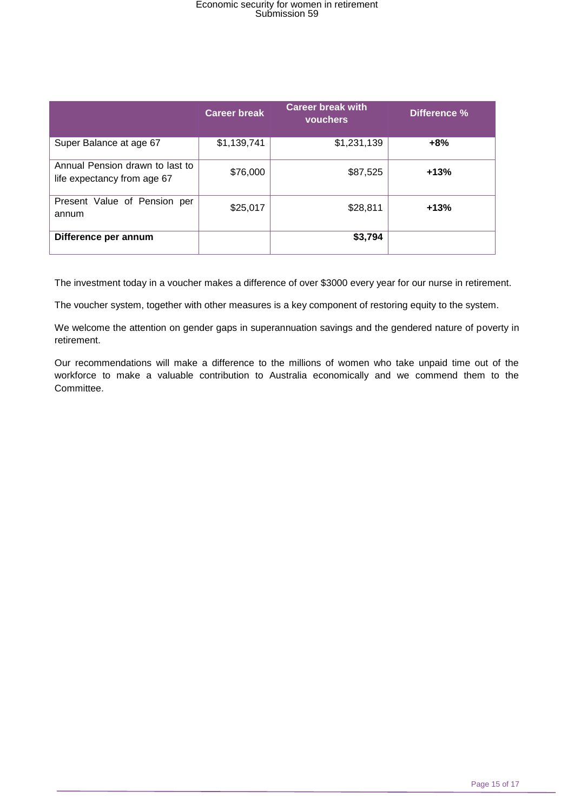|                                                                | <b>Career break</b> | <b>Career break with</b><br><b>vouchers</b> | Difference % |
|----------------------------------------------------------------|---------------------|---------------------------------------------|--------------|
| Super Balance at age 67                                        | \$1,139,741         | \$1,231,139                                 | $+8%$        |
| Annual Pension drawn to last to<br>life expectancy from age 67 | \$76,000            | \$87,525                                    | $+13%$       |
| Present Value of Pension per<br>annum                          | \$25,017            | \$28,811                                    | $+13%$       |
| Difference per annum                                           |                     | \$3,794                                     |              |

The investment today in a voucher makes a difference of over \$3000 every year for our nurse in retirement.

The voucher system, together with other measures is a key component of restoring equity to the system.

We welcome the attention on gender gaps in superannuation savings and the gendered nature of poverty in retirement.

Our recommendations will make a difference to the millions of women who take unpaid time out of the workforce to make a valuable contribution to Australia economically and we commend them to the Committee.